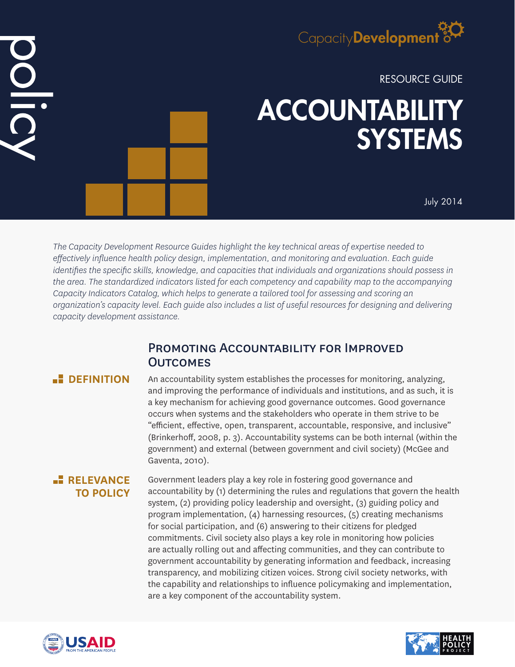# Capacity**Development**

RESOURCE GUIDE

# ACCOUNTABILITY **SYSTEMS**

July 2014

*The Capacity Development Resource Guides highlight the key technical areas of expertise needed to effectively influence health policy design, implementation, and monitoring and evaluation. Each guide identifies the specific skills, knowledge, and capacities that individuals and organizations should possess in the area. The standardized indicators listed for each competency and capability map to the accompanying Capacity Indicators Catalog, which helps to generate a tailored tool for assessing and scoring an organization's capacity level. Each guide also includes a list of useful resources for designing and delivering capacity development assistance.*

# PROMOTING ACCOUNTABILITY FOR IMPROVED **OUTCOMES**

DOLIC

**DEFINITION** An accountability system establishes the processes for monitoring, analyzing, and improving the performance of individuals and institutions, and as such, it is a key mechanism for achieving good governance outcomes. Good governance occurs when systems and the stakeholders who operate in them strive to be "efficient, effective, open, transparent, accountable, responsive, and inclusive" (Brinkerhoff, 2008, p. 3). Accountability systems can be both internal (within the government) and external (between government and civil society) (McGee and Gaventa, 2010).

# **RELEVANCE TO POLICY**

Government leaders play a key role in fostering good governance and accountability by (1) determining the rules and regulations that govern the health system, (2) providing policy leadership and oversight, (3) guiding policy and program implementation, (4) harnessing resources, (5) creating mechanisms for social participation, and (6) answering to their citizens for pledged commitments. Civil society also plays a key role in monitoring how policies are actually rolling out and affecting communities, and they can contribute to government accountability by generating information and feedback, increasing transparency, and mobilizing citizen voices. Strong civil society networks, with the capability and relationships to influence policymaking and implementation, are a key component of the accountability system.



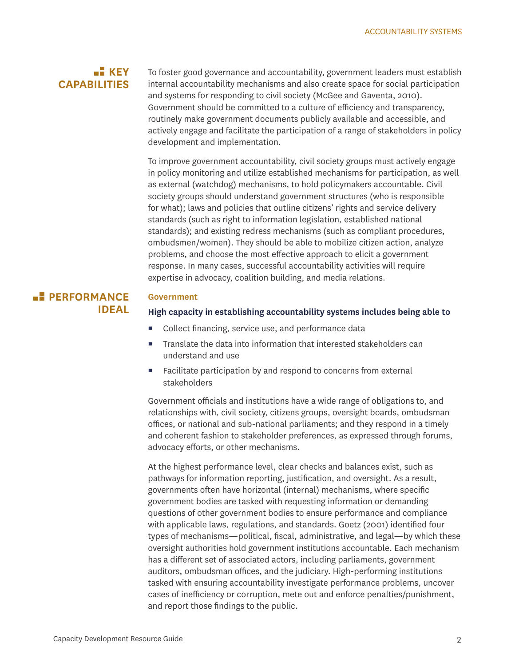# **KEY CAPABILITIES**

To foster good governance and accountability, government leaders must establish internal accountability mechanisms and also create space for social participation and systems for responding to civil society (McGee and Gaventa, 2010). Government should be committed to a culture of efficiency and transparency, routinely make government documents publicly available and accessible, and actively engage and facilitate the participation of a range of stakeholders in policy development and implementation.

To improve government accountability, civil society groups must actively engage in policy monitoring and utilize established mechanisms for participation, as well as external (watchdog) mechanisms, to hold policymakers accountable. Civil society groups should understand government structures (who is responsible for what); laws and policies that outline citizens' rights and service delivery standards (such as right to information legislation, established national standards); and existing redress mechanisms (such as compliant procedures, ombudsmen/women). They should be able to mobilize citizen action, analyze problems, and choose the most effective approach to elicit a government response. In many cases, successful accountability activities will require expertise in advocacy, coalition building, and media relations.

# **PERFORMANCE IDEAL**

#### **Government**

#### **High capacity in establishing accountability systems includes being able to**

- Collect financing, service use, and performance data
- Translate the data into information that interested stakeholders can understand and use
- Facilitate participation by and respond to concerns from external stakeholders

Government officials and institutions have a wide range of obligations to, and relationships with, civil society, citizens groups, oversight boards, ombudsman offices, or national and sub-national parliaments; and they respond in a timely and coherent fashion to stakeholder preferences, as expressed through forums, advocacy efforts, or other mechanisms.

At the highest performance level, clear checks and balances exist, such as pathways for information reporting, justification, and oversight. As a result, governments often have horizontal (internal) mechanisms, where specific government bodies are tasked with requesting information or demanding questions of other government bodies to ensure performance and compliance with applicable laws, regulations, and standards. Goetz (2001) identified four types of mechanisms—political, fiscal, administrative, and legal—by which these oversight authorities hold government institutions accountable. Each mechanism has a different set of associated actors, including parliaments, government auditors, ombudsman offices, and the judiciary. High-performing institutions tasked with ensuring accountability investigate performance problems, uncover cases of inefficiency or corruption, mete out and enforce penalties/punishment, and report those findings to the public.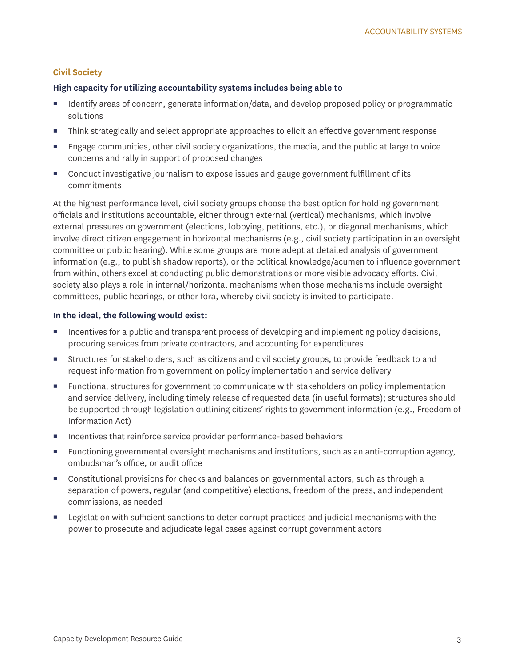# **Civil Society**

## **High capacity for utilizing accountability systems includes being able to**

- Identify areas of concern, generate information/data, and develop proposed policy or programmatic solutions
- Think strategically and select appropriate approaches to elicit an effective government response
- Engage communities, other civil society organizations, the media, and the public at large to voice concerns and rally in support of proposed changes
- Conduct investigative journalism to expose issues and gauge government fulfillment of its commitments

At the highest performance level, civil society groups choose the best option for holding government officials and institutions accountable, either through external (vertical) mechanisms, which involve external pressures on government (elections, lobbying, petitions, etc.), or diagonal mechanisms, which involve direct citizen engagement in horizontal mechanisms (e.g., civil society participation in an oversight committee or public hearing). While some groups are more adept at detailed analysis of government information (e.g., to publish shadow reports), or the political knowledge/acumen to influence government from within, others excel at conducting public demonstrations or more visible advocacy efforts. Civil society also plays a role in internal/horizontal mechanisms when those mechanisms include oversight committees, public hearings, or other fora, whereby civil society is invited to participate.

### **In the ideal, the following would exist:**

- **Incentives for a public and transparent process of developing and implementing policy decisions,** procuring services from private contractors, and accounting for expenditures
- Structures for stakeholders, such as citizens and civil society groups, to provide feedback to and request information from government on policy implementation and service delivery
- Functional structures for government to communicate with stakeholders on policy implementation and service delivery, including timely release of requested data (in useful formats); structures should be supported through legislation outlining citizens' rights to government information (e.g., Freedom of Information Act)
- **Incentives that reinforce service provider performance-based behaviors**
- Functioning governmental oversight mechanisms and institutions, such as an anti-corruption agency, ombudsman's office, or audit office
- Constitutional provisions for checks and balances on governmental actors, such as through a separation of powers, regular (and competitive) elections, freedom of the press, and independent commissions, as needed
- **EXECT** Legislation with sufficient sanctions to deter corrupt practices and judicial mechanisms with the power to prosecute and adjudicate legal cases against corrupt government actors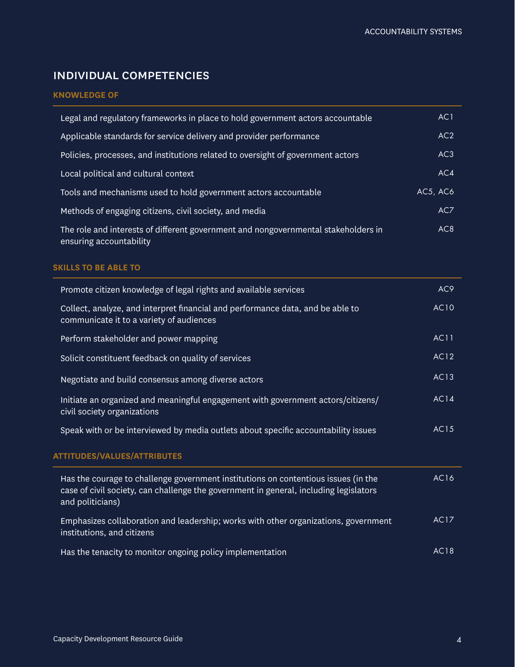# individual competencies

# **KNOWLEDGE OF**

| Legal and regulatory frameworks in place to hold government actors accountable                                | AC1      |
|---------------------------------------------------------------------------------------------------------------|----------|
| Applicable standards for service delivery and provider performance                                            | AC2      |
| Policies, processes, and institutions related to oversight of government actors                               | AC3      |
| Local political and cultural context                                                                          | AC4      |
| Tools and mechanisms used to hold government actors accountable                                               | AC5, AC6 |
| Methods of engaging citizens, civil society, and media                                                        | AC7      |
| The role and interests of different government and nongovernmental stakeholders in<br>ensuring accountability | AC8      |

## **SKILLS TO BE ABLE TO**

| Promote citizen knowledge of legal rights and available services                                                                                                                                | AC <sub>9</sub> |
|-------------------------------------------------------------------------------------------------------------------------------------------------------------------------------------------------|-----------------|
| Collect, analyze, and interpret financial and performance data, and be able to<br>communicate it to a variety of audiences                                                                      | <b>AC10</b>     |
| Perform stakeholder and power mapping                                                                                                                                                           | <b>AC11</b>     |
| Solicit constituent feedback on quality of services                                                                                                                                             | AC12            |
| Negotiate and build consensus among diverse actors                                                                                                                                              | AC13            |
| Initiate an organized and meaningful engagement with government actors/citizens/<br>civil society organizations                                                                                 | <b>AC14</b>     |
| Speak with or be interviewed by media outlets about specific accountability issues                                                                                                              | AC15            |
| <b>ATTITUDES/VALUES/ATTRIBUTES</b>                                                                                                                                                              |                 |
| Has the courage to challenge government institutions on contentious issues (in the<br>case of civil society, can challenge the government in general, including legislators<br>and politicians) | AC16            |
| Emphasizes collaboration and leadership; works with other organizations, government<br>institutions, and citizens                                                                               | <b>AC17</b>     |
| Has the tenacity to monitor ongoing policy implementation                                                                                                                                       | AC18            |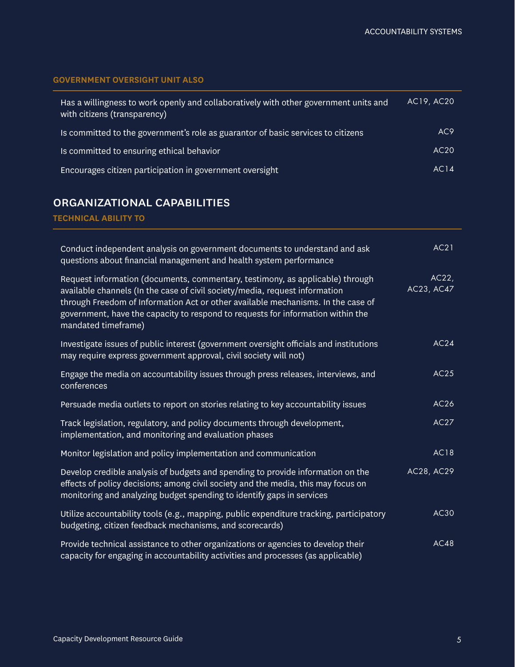# **GOVERNMENT OVERSIGHT UNIT ALSO**

| Has a willingness to work openly and collaboratively with other government units and<br>with citizens (transparency) | AC19, AC20      |
|----------------------------------------------------------------------------------------------------------------------|-----------------|
| Is committed to the government's role as guarantor of basic services to citizens                                     | AC <sub>9</sub> |
| Is committed to ensuring ethical behavior                                                                            | AC20            |
| Encourages citizen participation in government oversight                                                             | AC14            |

# organizational capabilities

**TECHNICAL ABILITY TO**

| Conduct independent analysis on government documents to understand and ask<br>questions about financial management and health system performance                                                                                                                                                                                                           | AC21                |
|------------------------------------------------------------------------------------------------------------------------------------------------------------------------------------------------------------------------------------------------------------------------------------------------------------------------------------------------------------|---------------------|
| Request information (documents, commentary, testimony, as applicable) through<br>available channels (In the case of civil society/media, request information<br>through Freedom of Information Act or other available mechanisms. In the case of<br>government, have the capacity to respond to requests for information within the<br>mandated timeframe) | AC22,<br>AC23, AC47 |
| Investigate issues of public interest (government oversight officials and institutions<br>may require express government approval, civil society will not)                                                                                                                                                                                                 | AC24                |
| Engage the media on accountability issues through press releases, interviews, and<br>conferences                                                                                                                                                                                                                                                           | AC25                |
| Persuade media outlets to report on stories relating to key accountability issues                                                                                                                                                                                                                                                                          | AC26                |
| Track legislation, regulatory, and policy documents through development,<br>implementation, and monitoring and evaluation phases                                                                                                                                                                                                                           | AC27                |
| Monitor legislation and policy implementation and communication                                                                                                                                                                                                                                                                                            | <b>AC18</b>         |
| Develop credible analysis of budgets and spending to provide information on the<br>effects of policy decisions; among civil society and the media, this may focus on<br>monitoring and analyzing budget spending to identify gaps in services                                                                                                              | AC28, AC29          |
| Utilize accountability tools (e.g., mapping, public expenditure tracking, participatory<br>budgeting, citizen feedback mechanisms, and scorecards)                                                                                                                                                                                                         | AC30                |
| Provide technical assistance to other organizations or agencies to develop their<br>capacity for engaging in accountability activities and processes (as applicable)                                                                                                                                                                                       | AC48                |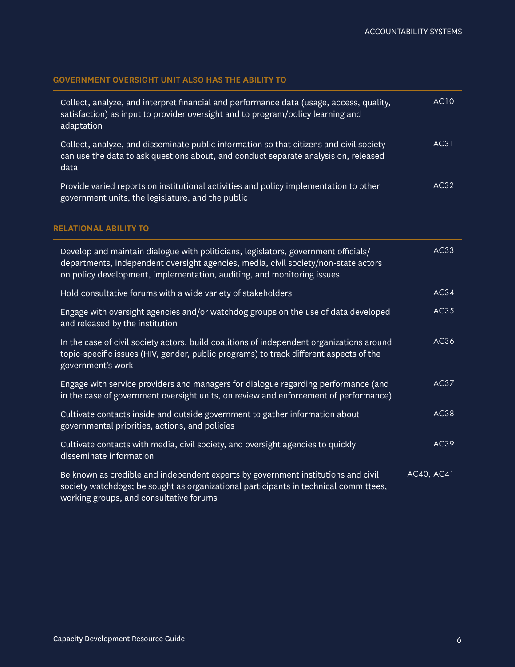# **GOVERNMENT OVERSIGHT UNIT ALSO HAS THE ABILITY TO**

| Collect, analyze, and interpret financial and performance data (usage, access, quality,<br>satisfaction) as input to provider oversight and to program/policy learning and<br>adaptation | AC10 |
|------------------------------------------------------------------------------------------------------------------------------------------------------------------------------------------|------|
| Collect, analyze, and disseminate public information so that citizens and civil society<br>can use the data to ask questions about, and conduct separate analysis on, released<br>data   | AC31 |
| Provide varied reports on institutional activities and policy implementation to other<br>government units, the legislature, and the public                                               | AC32 |

# **RELATIONAL ABILITY TO**

| Develop and maintain dialogue with politicians, legislators, government officials/<br>departments, independent oversight agencies, media, civil society/non-state actors<br>on policy development, implementation, auditing, and monitoring issues | AC33       |
|----------------------------------------------------------------------------------------------------------------------------------------------------------------------------------------------------------------------------------------------------|------------|
| Hold consultative forums with a wide variety of stakeholders                                                                                                                                                                                       | AC34       |
| Engage with oversight agencies and/or watchdog groups on the use of data developed<br>and released by the institution                                                                                                                              | AC35       |
| In the case of civil society actors, build coalitions of independent organizations around<br>topic-specific issues (HIV, gender, public programs) to track different aspects of the<br>government's work                                           | AC36       |
| Engage with service providers and managers for dialogue regarding performance (and<br>in the case of government oversight units, on review and enforcement of performance)                                                                         | AC37       |
| Cultivate contacts inside and outside government to gather information about<br>governmental priorities, actions, and policies                                                                                                                     | AC38       |
| Cultivate contacts with media, civil society, and oversight agencies to quickly<br>disseminate information                                                                                                                                         | AC39       |
| Be known as credible and independent experts by government institutions and civil<br>society watchdogs; be sought as organizational participants in technical committees,<br>working groups, and consultative forums                               | AC40, AC41 |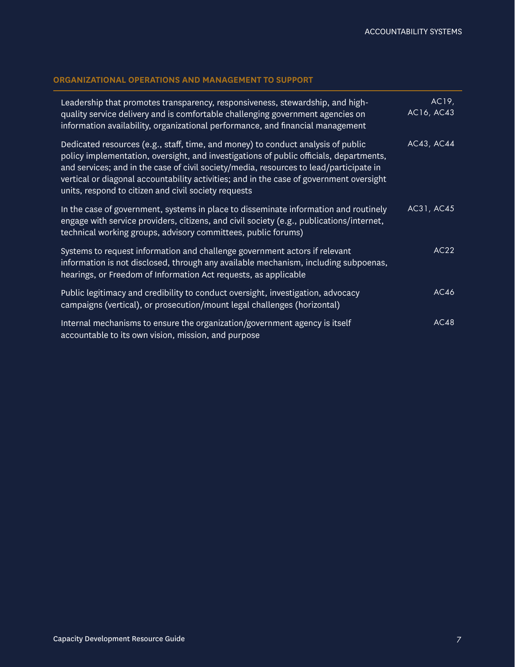# **ORGANIZATIONAL OPERATIONS AND MANAGEMENT TO SUPPORT**

| Leadership that promotes transparency, responsiveness, stewardship, and high-<br>quality service delivery and is comfortable challenging government agencies on<br>information availability, organizational performance, and financial management                                                                                                                                                                       | AC19,<br>AC16, AC43 |
|-------------------------------------------------------------------------------------------------------------------------------------------------------------------------------------------------------------------------------------------------------------------------------------------------------------------------------------------------------------------------------------------------------------------------|---------------------|
| Dedicated resources (e.g., staff, time, and money) to conduct analysis of public<br>policy implementation, oversight, and investigations of public officials, departments,<br>and services; and in the case of civil society/media, resources to lead/participate in<br>vertical or diagonal accountability activities; and in the case of government oversight<br>units, respond to citizen and civil society requests | AC43, AC44          |
| In the case of government, systems in place to disseminate information and routinely<br>engage with service providers, citizens, and civil society (e.g., publications/internet,<br>technical working groups, advisory committees, public forums)                                                                                                                                                                       | AC31, AC45          |
| Systems to request information and challenge government actors if relevant<br>information is not disclosed, through any available mechanism, including subpoenas,<br>hearings, or Freedom of Information Act requests, as applicable                                                                                                                                                                                    | AC22                |
| Public legitimacy and credibility to conduct oversight, investigation, advocacy<br>campaigns (vertical), or prosecution/mount legal challenges (horizontal)                                                                                                                                                                                                                                                             | AC46                |
| Internal mechanisms to ensure the organization/government agency is itself<br>accountable to its own vision, mission, and purpose                                                                                                                                                                                                                                                                                       | AC48                |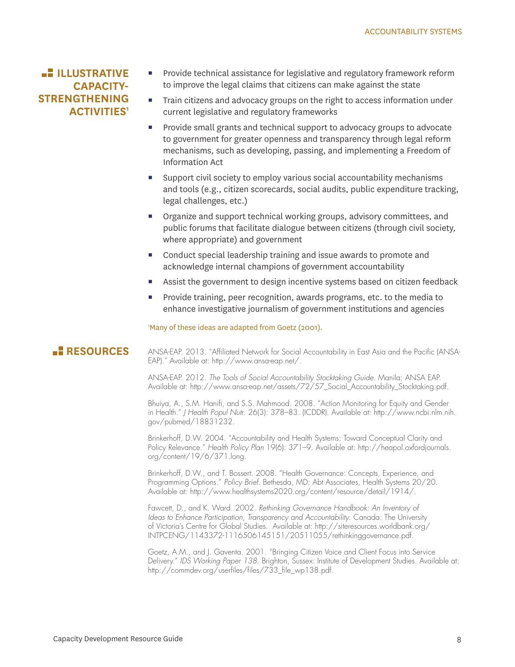# **LE ILLUSTRATIVE CAPACITY-STRENGTHENING ACTIVITIES1**

- Provide technical assistance for legislative and regulatory framework reform to improve the legal claims that citizens can make against the state
- Train citizens and advocacy groups on the right to access information under current legislative and regulatory frameworks
- **Provide small grants and technical support to advocacy groups to advocate** to government for greater openness and transparency through legal reform mechanisms, such as developing, passing, and implementing a Freedom of Information Act
- Support civil society to employ various social accountability mechanisms and tools (e.g., citizen scorecards, social audits, public expenditure tracking, legal challenges, etc.)
- Organize and support technical working groups, advisory committees, and public forums that facilitate dialogue between citizens (through civil society, where appropriate) and government
- Conduct special leadership training and issue awards to promote and acknowledge internal champions of government accountability
- Assist the government to design incentive systems based on citizen feedback
- **Provide training, peer recognition, awards programs, etc. to the media to** enhance investigative journalism of government institutions and agencies

1 Many of these ideas are adapted from Goetz (2001).

# **RESOURCES**

ANSA-EAP. 2013. "Affiliated Network for Social Accountability in East Asia and the Pacific (ANSA-EAP)." Available at: http://www.ansa-eap.net/.

ANSA-EAP. 2012. *The Tools of Social Accountability Stocktaking Guide*. Manila: ANSA EAP. Available at: http://www.ansa-eap.net/assets/72/57\_Social\_Accountability\_Stocktaking.pdf.

Bhuiya, A., S.M. Hanifi, and S.S. Mahmood. 2008. "Action Monitoring for Equity and Gender in Health." *J Health Popul Nutr*. 26(3): 378–83. (ICDDR). Available at: http://www.ncbi.nlm.nih. gov/pubmed/18831232.

Brinkerhoff, D.W. 2004. "Accountability and Health Systems: Toward Conceptual Clarity and Policy Relevance." *Health Policy Plan* 19(6): 371–9. Available at: http://heapol.oxfordjournals. org/content/19/6/371.long.

Brinkerhoff, D.W., and T. Bossert. 2008. "Health Governance: Concepts, Experience, and Programming Options." *Policy Brief*. Bethesda, MD: Abt Associates, Health Systems 20/20. Available at: http://www.healthsystems2020.org/content/resource/detail/1914/.

Fawcett, D., and K. Ward. 2002. *Rethinking Governance Handbook: An Inventory of Ideas to Enhance Participation, Transparency and Accountability*. Canada: The University of Victoria's Centre for Global Studies. Available at: http://siteresources.worldbank.org/ INTPCENG/1143372-1116506145151/20511055/rethinkinggovernance.pdf.

Goetz, A.M., and J. Gaventa. 2001. "Bringing Citizen Voice and Client Focus into Service Delivery." *IDS Working Paper 138*. Brighton, Sussex: Institute of Development Studies. Available at: http://commdev.org/userfiles/files/733\_file\_wp138.pdf.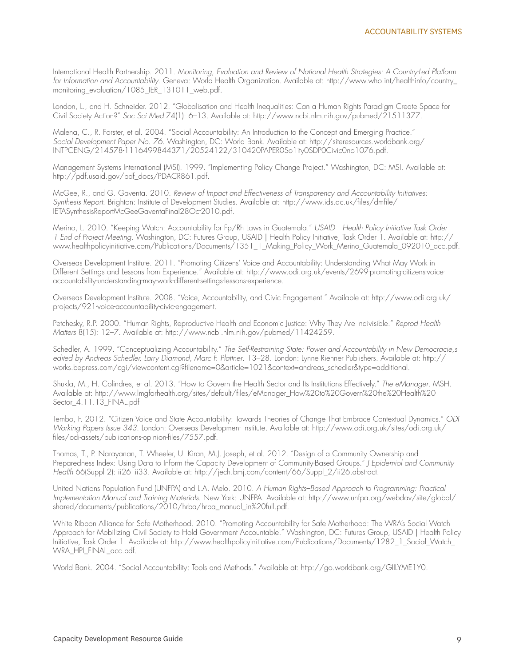International Health Partnership. 2011. *Monitoring, Evaluation and Review of National Health Strategies: A Country-Led Platform for Information and Accountability*. Geneva: World Health Organization. Available at: http://www.who.int/healthinfo/country\_ monitoring\_evaluation/1085\_IER\_131011\_web.pdf.

London, L., and H. Schneider. 2012. "Globalisation and Health Inequalities: Can a Human Rights Paradigm Create Space for Civil Society Action?" *Soc Sci Med* 74(1): 6–13. Available at: http://www.ncbi.nlm.nih.gov/pubmed/21511377.

Malena, C., R. Forster, et al. 2004. "Social Accountability: An Introduction to the Concept and Emerging Practice." Social Development Paper No. 76. Washington, DC: World Bank. Available at: http://siteresources.worldbank.org/ INTPCENG/214578-1116499844371/20524122/310420PAPER0So1ity0SDP0Civic0no1076.pdf.

Management Systems International (MSI). 1999. "Implementing Policy Change Project." Washington, DC: MSI. Available at: http://pdf.usaid.gov/pdf\_docs/PDACR861.pdf.

McGee, R., and G. Gaventa. 2010. *Review of Impact and Effectiveness of Transparency and Accountability Initiatives: Synthesis Report*. Brighton: Institute of Development Studies. Available at: http://www.ids.ac.uk/files/dmfile/ IETASynthesisReportMcGeeGaventaFinal28Oct2010.pdf.

Merino, L. 2010. "Keeping Watch: Accountability for Fp/Rh Laws in Guatemala." *USAID | Health Policy Initiative Task Order 1 End of Project Meeting*. Washington, DC: Futures Group, USAID | Health Policy Initiative, Task Order 1. Available at: http:// www.healthpolicyinitiative.com/Publications/Documents/1351\_1\_Making\_Policy\_Work\_Merino\_Guatemala\_092010\_acc.pdf.

Overseas Development Institute. 2011. "Promoting Citizens' Voice and Accountability: Understanding What May Work in Different Settings and Lessons from Experience." Available at: http://www.odi.org.uk/events/2699-promoting-citizens-voiceaccountability-understanding-may-work-different-settings-lessons-experience.

Overseas Development Institute. 2008. "Voice, Accountability, and Civic Engagement." Available at: http://www.odi.org.uk/ projects/921-voice-accountability-civic-engagement.

Petchesky, R.P. 2000. "Human Rights, Reproductive Health and Economic Justice: Why They Are Indivisible." *Reprod Health Matters* 8(15): 12–7. Available at: http://www.ncbi.nlm.nih.gov/pubmed/11424259.

Schedler, A. 1999. "Conceptualizing Accountability." *The Self-Restraining State: Power and Accountability in New Democracie,s edited by Andreas Schedler, Larry Diamond, Marc F. Plattner*. 13–28. London: Lynne Rienner Publishers. Available at: http:// works.bepress.com/cgi/viewcontent.cgi?filename=0&article=1021&context=andreas\_schedler&type=additional.

Shukla, M., H. Colindres, et al. 2013. "How to Govern the Health Sector and Its Institutions Effectively." *The eManager*. MSH. Available at: http://www.lmgforhealth.org/sites/default/files/eManager\_How%20to%20Govern%20the%20Health%20 Sector\_4.11.13\_FINAL.pdf

Tembo, F. 2012. "Citizen Voice and State Accountability: Towards Theories of Change That Embrace Contextual Dynamics." *ODI Working Papers Issue 343*. London: Overseas Development Institute. Available at: http://www.odi.org.uk/sites/odi.org.uk/ files/odi-assets/publications-opinion-files/7557.pdf.

Thomas, T., P. Narayanan, T. Wheeler, U. Kiran, M.J. Joseph, et al. 2012. "Design of a Community Ownership and Preparedness Index: Using Data to Inform the Capacity Development of Community-Based Groups." *J Epidemiol and Community Health* 66(Suppl 2): ii26–ii33. Available at: http://jech.bmj.com/content/66/Suppl\_2/ii26.abstract.

United Nations Population Fund (UNFPA) and L.A. Melo. 2010. *A Human Rights–Based Approach to Programming: Practical Implementation Manual and Training Materials*. New York: UNFPA. Available at: http://www.unfpa.org/webdav/site/global/ shared/documents/publications/2010/hrba/hrba\_manual\_in%20full.pdf.

White Ribbon Alliance for Safe Motherhood. 2010. "Promoting Accountability for Safe Motherhood: The WRA's Social Watch Approach for Mobilizing Civil Society to Hold Government Accountable." Washington, DC: Futures Group, USAID | Health Policy Initiative, Task Order 1. Available at: http://www.healthpolicyinitiative.com/Publications/Documents/1282\_1\_Social\_Watch\_ WRA\_HPI\_FINAL\_acc.pdf.

World Bank. 2004. "Social Accountability: Tools and Methods." Available at: http://go.worldbank.org/GIILYME1Y0.